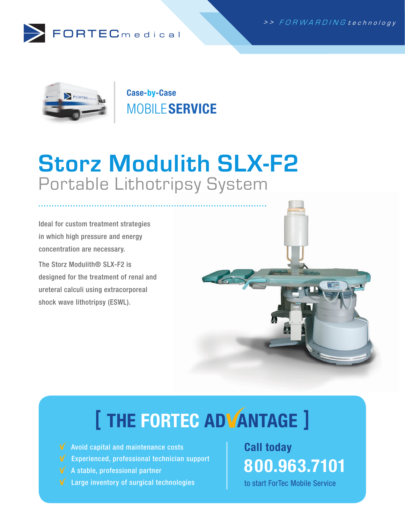



Case-by-Case **MOBILE SERVICE** 

### Storz Modulith SLX-F2 Portable Lithotripsy System

Ideal for custom treatment strategies in which high pressure and energy concentration are necessary.

The Storz Modulith<sup>®</sup> SLX-F2 is designed for the treatment of renal and ureteral calculi using extracorporeal shock wave lithotripsy (ESWL).



# [ THE FORTEC ADVANTAGE ]

- $\sqrt{\phantom{a}}$  Avoid capital and maintenance costs
- $\mathbf V$  Experienced, professional technician support
- $\sqrt{\phantom{a}}$  A stable, professional partner
- **V** Large inventory of surgical technologies

### Call today 800.963.7101

to start ForTec Mobile Service